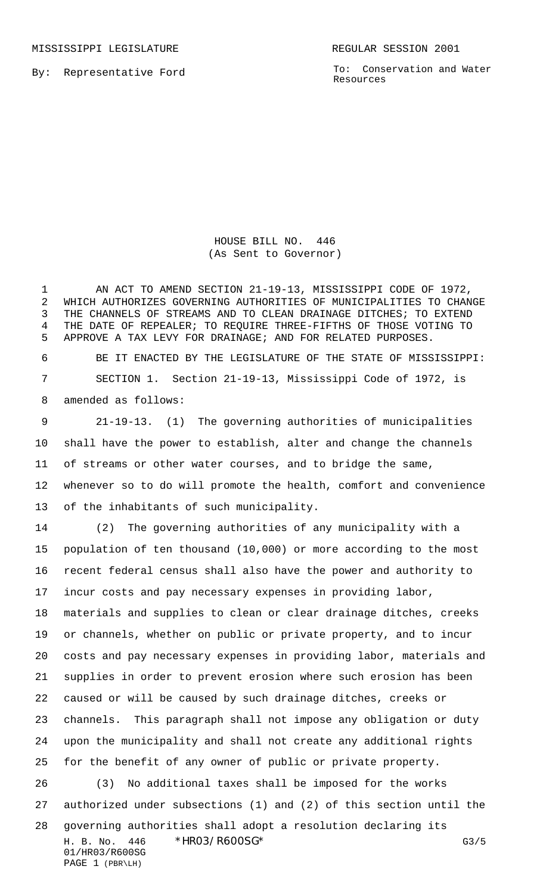MISSISSIPPI LEGISLATURE **REGULAR SESSION 2001** 

By: Representative Ford

To: Conservation and Water Resources

HOUSE BILL NO. 446 (As Sent to Governor)

1 AN ACT TO AMEND SECTION 21-19-13, MISSISSIPPI CODE OF 1972, WHICH AUTHORIZES GOVERNING AUTHORITIES OF MUNICIPALITIES TO CHANGE THE CHANNELS OF STREAMS AND TO CLEAN DRAINAGE DITCHES; TO EXTEND THE DATE OF REPEALER; TO REQUIRE THREE-FIFTHS OF THOSE VOTING TO APPROVE A TAX LEVY FOR DRAINAGE; AND FOR RELATED PURPOSES.

 BE IT ENACTED BY THE LEGISLATURE OF THE STATE OF MISSISSIPPI: SECTION 1. Section 21-19-13, Mississippi Code of 1972, is amended as follows:

 21-19-13. (1) The governing authorities of municipalities shall have the power to establish, alter and change the channels of streams or other water courses, and to bridge the same, whenever so to do will promote the health, comfort and convenience of the inhabitants of such municipality.

H. B. No. 446 \*HRO3/R600SG\* G3/5 01/HR03/R600SG PAGE 1 (PBR\LH) (2) The governing authorities of any municipality with a population of ten thousand (10,000) or more according to the most recent federal census shall also have the power and authority to incur costs and pay necessary expenses in providing labor, materials and supplies to clean or clear drainage ditches, creeks or channels, whether on public or private property, and to incur costs and pay necessary expenses in providing labor, materials and supplies in order to prevent erosion where such erosion has been caused or will be caused by such drainage ditches, creeks or channels. This paragraph shall not impose any obligation or duty upon the municipality and shall not create any additional rights for the benefit of any owner of public or private property. (3) No additional taxes shall be imposed for the works authorized under subsections (1) and (2) of this section until the governing authorities shall adopt a resolution declaring its